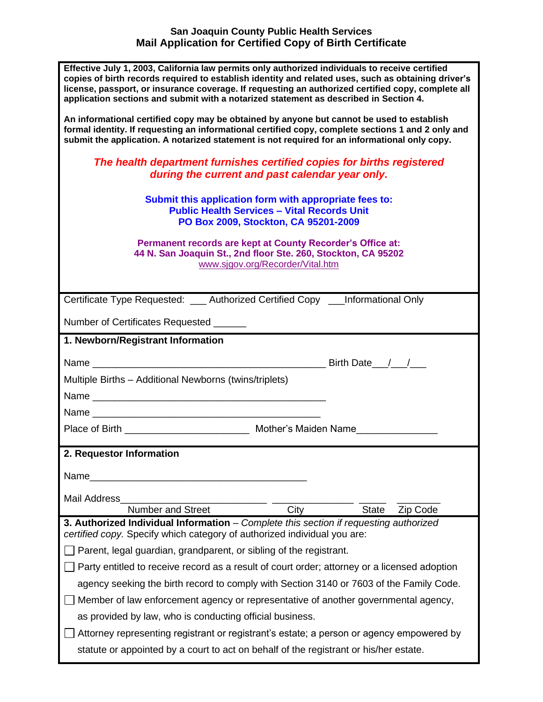## **San Joaquin County Public Health Services Mail Application for Certified Copy of Birth Certificate**

| Effective July 1, 2003, California law permits only authorized individuals to receive certified<br>copies of birth records required to establish identity and related uses, such as obtaining driver's<br>license, passport, or insurance coverage. If requesting an authorized certified copy, complete all<br>application sections and submit with a notarized statement as described in Section 4. |
|-------------------------------------------------------------------------------------------------------------------------------------------------------------------------------------------------------------------------------------------------------------------------------------------------------------------------------------------------------------------------------------------------------|
| An informational certified copy may be obtained by anyone but cannot be used to establish<br>formal identity. If requesting an informational certified copy, complete sections 1 and 2 only and<br>submit the application. A notarized statement is not required for an informational only copy.                                                                                                      |
| The health department furnishes certified copies for births registered<br>during the current and past calendar year only.                                                                                                                                                                                                                                                                             |
| Submit this application form with appropriate fees to:<br><b>Public Health Services - Vital Records Unit</b><br>PO Box 2009, Stockton, CA 95201-2009                                                                                                                                                                                                                                                  |
| Permanent records are kept at County Recorder's Office at:<br>44 N. San Joaquin St., 2nd floor Ste. 260, Stockton, CA 95202<br>www.sjgov.org/Recorder/Vital.htm                                                                                                                                                                                                                                       |
| Certificate Type Requested: ___ Authorized Certified Copy ___ Informational Only                                                                                                                                                                                                                                                                                                                      |
| Number of Certificates Requested ______                                                                                                                                                                                                                                                                                                                                                               |
| 1. Newborn/Registrant Information                                                                                                                                                                                                                                                                                                                                                                     |
|                                                                                                                                                                                                                                                                                                                                                                                                       |
| Multiple Births - Additional Newborns (twins/triplets)                                                                                                                                                                                                                                                                                                                                                |
|                                                                                                                                                                                                                                                                                                                                                                                                       |
| Name <u>experience</u> and the series of the series of the series of the series of the series of the series of the series of the series of the series of the series of the series of the series of the series of the series of the                                                                                                                                                                    |
|                                                                                                                                                                                                                                                                                                                                                                                                       |
| 2. Requestor Information                                                                                                                                                                                                                                                                                                                                                                              |
| Name                                                                                                                                                                                                                                                                                                                                                                                                  |
| Mail Address                                                                                                                                                                                                                                                                                                                                                                                          |
| <b>Number and Street</b><br>City<br>Zip Code<br><b>State</b>                                                                                                                                                                                                                                                                                                                                          |
| 3. Authorized Individual Information - Complete this section if requesting authorized<br>certified copy. Specify which category of authorized individual you are:                                                                                                                                                                                                                                     |
| Parent, legal guardian, grandparent, or sibling of the registrant.                                                                                                                                                                                                                                                                                                                                    |
| Party entitled to receive record as a result of court order; attorney or a licensed adoption                                                                                                                                                                                                                                                                                                          |
| agency seeking the birth record to comply with Section 3140 or 7603 of the Family Code.                                                                                                                                                                                                                                                                                                               |
| Member of law enforcement agency or representative of another governmental agency,                                                                                                                                                                                                                                                                                                                    |
| as provided by law, who is conducting official business.                                                                                                                                                                                                                                                                                                                                              |
| Attorney representing registrant or registrant's estate; a person or agency empowered by                                                                                                                                                                                                                                                                                                              |
| statute or appointed by a court to act on behalf of the registrant or his/her estate.                                                                                                                                                                                                                                                                                                                 |